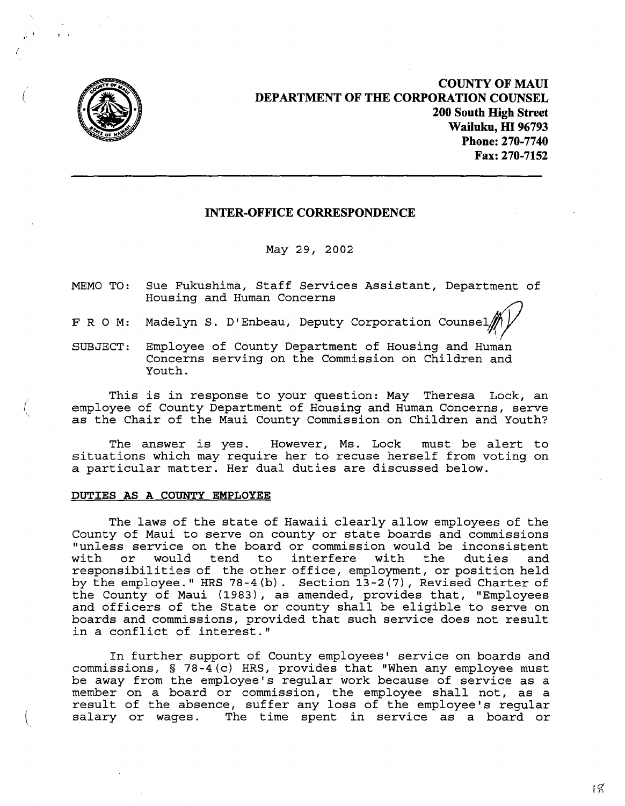

(

,. ,

**COUNTY OF MAUl DEPARTMENT OF THE CORPORATION COUNSEL 200 South High Street Wailuku, m 96793 Phone: 270-7740 Fax: 270-7152**

## **INTER-OFFICE CORRESPONDENCE**

May 29, 2002

- MEMO TO: Sue Fukushima, Staff Services Assistant, Department of Housing and Human Concerns
- F R O M: Madelyn S. D'Enbeau, Deputy Corporation Counsel
- SUBJECT: Employee of County Department of Housing and Human Concerns serving on the Commission on Children and Youth.

This is in response to your question: May Theresa Lock, an employee of County Department of Housing and Human Concerns, serve as the Chair of the Maui County Commission on Children and Youth?

The answer is yes. However, Ms. Lock must be alert to situations which may require her to recuse herself from voting on <sup>a</sup> particular matter. Her dual duties are discussed below.

## **DUTIES AS A COUNTY EMPLOYEE**

The laws of the state of Hawaii clearly allow employees of the County of Maui to serve on county or state boards and commissions "unless service on the board or commission would be inconsistent with or would responsibilities of the other office, employment, or position held by the employee." HRS 78-4(b). Section  $13-2(7)$ , Revised Charter of the County of Maui (1983), as amended, provides that, "Employees and officers of the State or county shall be eligible to serve on boards and commissions, provided that such service does not result in <sup>a</sup> conflict of interest."

In further support of County employees' service on boards and commissions, § 78-4(c) HRS, provides that "When any employee must be away from the employee's regular work because of service as a member on a board or commission, the employee shall not, as a momber on a beard or commission, the emproyee sharr not, as a salary or wages. The time spent in service as a board or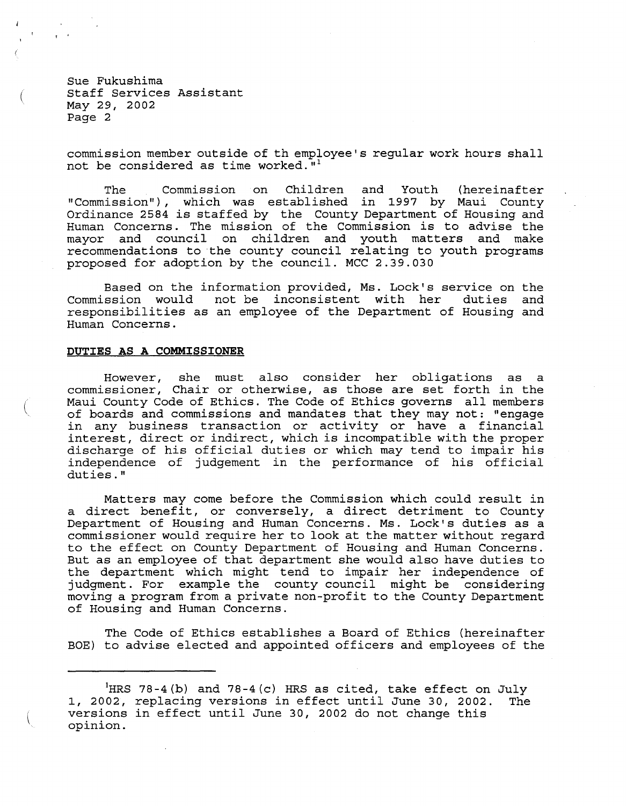Sue Fukushima Staff Services Assistant May 29, 2002 Page 2

 $\mathsf T$   $\mathsf T$ 

commission member outside of th employee's regular work hours shall not be considered as time worked. $''$ 1

The Commission on Children and Youth (hereinafter "Commission"), which was established in 1997 by Maui County Ordinance <sup>2584</sup> is staffed by the County Department of Housing and Human Concerns. The mission of the Commission is to advise the mayor and council on children and youth matters and make recommendations to the county council relating to youth programs proposed for adoption by the council. MCC 2.39.030

Based on the information provided, Ms. Lock's service on the Commission would not be inconsistent with her duties and responsibilities as an employee of the Department of Housing and Human Concerns.

## **DUTIES AS A COMMISSIONER**

However, she must also consider her obligations as a commissioner, Chair or otherwise, as those are set forth in the Maui County Code of Ethics. The Code of Ethics governs all members of boards and commissions and mandates that they may not: "engage in any business transaction or activity or have <sup>a</sup> financial interest, direct or indirect, which is incompatible with the proper discharge of his official duties or which may tend to impair his independence of judgement in the performance of his official duties."

Matters may come before the Commission which could result in a direct benefit, or conversely, a direct detriment to County Department of Housing and Human Concerns. Ms. Lock's duties as a commissioner would require her to look at the matter without regard to the effect on County Department of Housing and Human Concerns. But as an employee of that department she would also have duties to the department which might tend to impair her independence of judgment. For example the county council might be considering moving a program from a private non-profit to the County Department of Housing and Human Concerns.

The Code of Ethics establishes a Board of Ethics (hereinafter BOE) to advise elected and appointed officers and employees of the

<sup>&#</sup>x27;HRS 78-4(b) and 78-4(c) HRS as cited, take effect on July I, 2002, replacing versions in effect until June 30, 2002. versions in effect until June 30, 2002 do not change this opinion. The